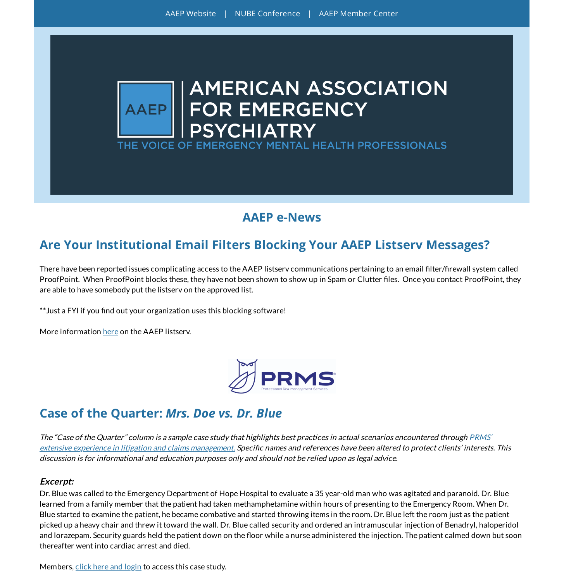



#### **AAEP e-News**

## **Are Your Institutional Email Filters Blocking Your AAEP Listserv Messages?**

There have been reported issues complicating access to the AAEP listserv communications pertaining to an email filter/firewall system called ProofPoint. When ProofPoint blocks these, they have not been shown to show up in Spam or Clutter files. Once you contact ProofPoint, they are able to have somebody put the listserv on the approved list.

\*\* Just a FYI if you find out your organization uses this blocking software!

More information [here](https://aaep.memberclicks.net/aaep-listserv) on the AAEP listserv.



#### **Case of the Quarter:** *Mrs. Doe vs. Dr. Blue*

The "Case of the Quarter" column is <sup>a</sup> sample case study that highlights best practices in actual scenarios encountered through PRMS' extensive experience in litigation and claims [management.](https://www.prms.com/) Specific names and references have been altered to protect clients' interests. This discussion is for informational and education purposes only and should not be relied upon as legal advice.

#### **Excerpt:**

Dr. Blue was called to the Emergency Department of Hope Hospital to evaluate a 35 year-old man who was agitated and paranoid. Dr. Blue learned from a family member that the patient had taken methamphetamine within hours of presenting to the Emergency Room. When Dr. Blue started to examine the patient, he became combative and started throwing items in the room. Dr. Blue left the room just as the patient picked up a heavy chair and threw it toward the wall. Dr. Blue called security and ordered an intramuscular injection of Benadryl, haloperidol and lorazepam. Security guards held the patient down on the floor while a nurse administered the injection. The patient calmed down but soon thereafter went into cardiac arrest and died.

Members, click here and [login](https://aaep.memberclicks.net/prms-resources) to access this case study.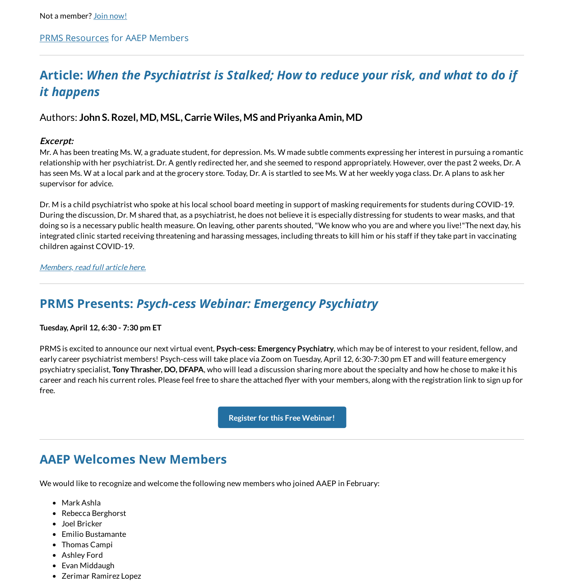# **Article:** *When the Psychiatrist is Stalked; How to reduce your risk, and what to do if it happens*

#### Authors: **John S. Rozel, MD, MSL,Carrie Wiles, MS andPriyanka Amin, MD**

#### **Excerpt:**

Mr. A has been treating Ms. W, a graduate student, for depression. Ms. W made subtle comments expressing her interest in pursuing a romantic relationship with her psychiatrist. Dr. A gently redirected her, and she seemed to respond appropriately. However, over the past 2 weeks, Dr. A has seen Ms. W at a local park and at the grocery store. Today, Dr. A is startled to see Ms. W at her weekly yoga class. Dr. A plans to ask her supervisor for advice.

Dr. M is a child psychiatrist who spoke at his local school board meeting in support of masking requirements for students during COVID-19. During the discussion, Dr. M shared that, as a psychiatrist, he does not believe it is especially distressing for students to wear masks, and that doing so is a necessary public health measure. On leaving, other parents shouted, "We know who you are and where you live!"The next day, his integrated clinic started receiving threatening and harassing messages, including threats to kill him or his staff if they take part in vaccinating children against COVID-19.

#### [Members,](https://aaep.memberclicks.net/additional-resources-articles) read full article here.

### **PRMS Presents:** *Psych-cess Webinar: Emergency Psychiatry*

**Tuesday, April 12, 6:30 - 7:30 pm ET**

PRMS is excited to announce our next virtual event, **Psych-cess: Emergency Psychiatry**, which may be of interest to your resident, fellow, and early career psychiatrist members! Psych-cess will take place via Zoom on Tuesday, April 12, 6:30-7:30 pm ET and will feature emergency psychiatry specialist, **Tony Thrasher, DO, DFAPA**, who will lead a discussion sharing more about the specialty and how he chose to make it his career and reach his current roles. Please feel free to share the attached flyer with your members, along with the registration link to sign up for free.

**Register for this Free [Webinar!](https://www.prms.com/community/psych-cess-webinar/)**

### **AAEP Welcomes New Members**

We would like to recognize and welcome the following new members who joined AAEP in February:

- Mark Ashla
- Rebecca Berghorst
- Joel Bricker
- Emilio Bustamante
- Thomas Campi
- Ashley Ford
- Evan Middaugh
- Zerimar Ramirez Lopez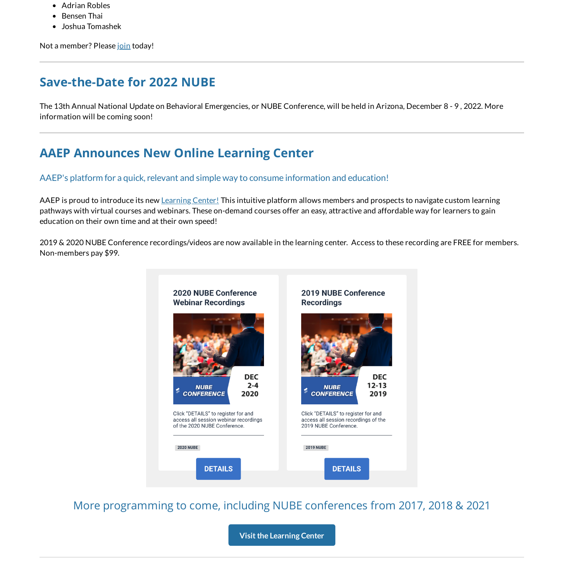- Adrian Robles
- Bensen Thai  $\bullet$
- Joshua Tomashek

Not a member? Please [join](https://aaep.memberclicks.net/join) today!

### **Save-the-Date for 2022 NUBE**

The 13th Annual National Update on Behavioral Emergencies, or NUBE Conference, will be held in Arizona, December 8 - 9 , 2022. More information will be coming soon!

## **AAEP Announces New Online Learning Center**

#### AAEP's platform for a quick, relevant and simple way to consume information and education!

AAEP is proud to introduce its new [Learning](https://aaepevent.mclms.net/en/) Center! This intuitive platform allows members and prospects to navigate custom learning pathways with virtual courses and webinars. These on-demand courses offer an easy, attractive and affordable way for learners to gain education on their own time and at their own speed!

2019 & 2020 NUBE Conference recordings/videos are now available in the learning center. Access to these recording are FREE for members. Non-members pay \$99.



More programming to come, including NUBE conferences from 2017, 2018 & 2021

**Visitthe [Learning](https://aaepevent.mclms.net/en/) Center**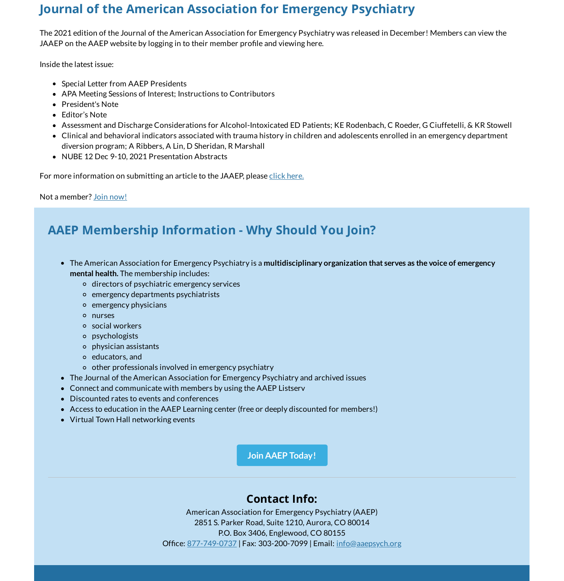## **Journal of the American Association for Emergency Psychiatry**

The 2021 edition of the Journal of the American Association for Emergency Psychiatry was released in December! Members can view the JAAEP on the AAEP website by logging in to their member profile and viewing here.

Inside the latest issue:

- Special Letter from AAEP Presidents
- APA Meeting Sessions of Interest; Instructions to Contributors
- President's Note
- Editor's Note
- Assessment and Discharge Considerations for Alcohol-Intoxicated ED Patients; KE Rodenbach, C Roeder, G Ciuffetelli, & KR Stowell
- Clinical and behavioral indicators associated with trauma history in children and adolescents enrolled in an emergency department diversion program; A Ribbers, A Lin, D Sheridan, R Marshall
- NUBE 12 Dec 9-10, 2021 Presentation Abstracts

For more information on submitting an article to the JAAEP, please click [here.](https://aaep.memberclicks.net/journal-of-the-american-association-for-emergency-psychiatry)

Not a member? Join [now!](https://aaep.memberclicks.net/join)

## **AAEP Membership Information - Why Should You Join?**

- The American Association for Emergency Psychiatry is a **multidisciplinary organization that serves as the voice of emergency mental health.** The membership includes:
	- directors of psychiatric emergency services
	- emergency departments psychiatrists
	- emergency physicians
	- nurses
	- social workers
	- psychologists
	- physician assistants
	- educators, and
	- $\circ$  other professionals involved in emergency psychiatry
- The Journal of the American Association for Emergency Psychiatry and archived issues
- Connect and communicate with members by using the AAEP Listserv
- Discounted rates to events and conferences
- Access to education in the AAEP Learning center (free or deeply discounted for members!)
- Virtual Town Hall networking events

**Join [AAEP Today!](https://aaep.memberclicks.net/membership-application)**

#### **Contact Info:**

American Association for Emergency Psychiatry (AAEP) 2851 S. Parker Road, Suite 1210, Aurora, CO 80014 P.O. Box 3406, Englewood, CO 80155 Office: [877-749-0737](tel:877-749-0737) | Fax: 303-200-7099 | Email: [info@aaepsych.org](mailto:info@aaepsych.org)